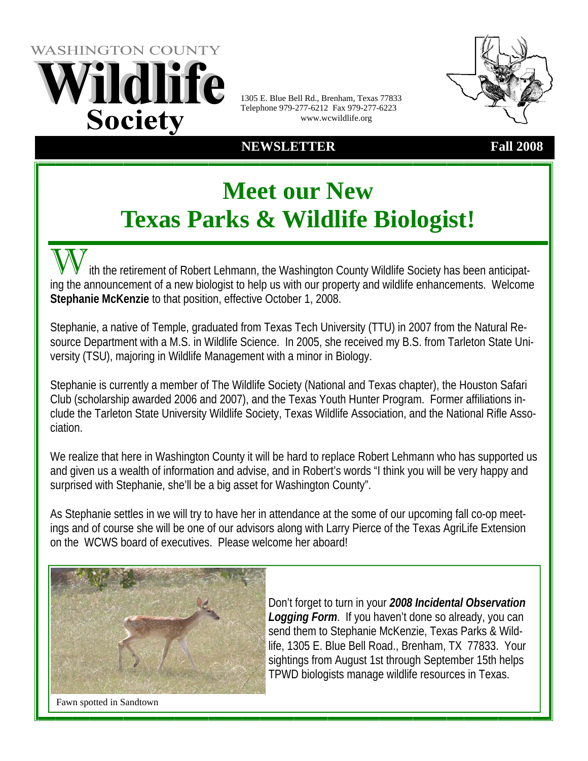

1305 E. Blue Bell Rd., Brenham, Texas 77833 Telephone 979-277-6212 Fax 979-277-6223 www.wcwildlife.org

**NEWSLETTER Fall 2008**



# **Meet our New Texas Parks & Wildlife Biologist!**

ith the retirement of Robert Lehmann, the Washington County Wildlife Society has been anticipating the announcement of a new biologist to help us with our property and wildlife enhancements. Welcome **Stephanie McKenzie** to that position, effective October 1, 2008.

Stephanie, a native of Temple, graduated from Texas Tech University (TTU) in 2007 from the Natural Resource Department with a M.S. in Wildlife Science. In 2005, she received my B.S. from Tarleton State University (TSU), majoring in Wildlife Management with a minor in Biology.

Stephanie is currently a member of The Wildlife Society (National and Texas chapter), the Houston Safari Club (scholarship awarded 2006 and 2007), and the Texas Youth Hunter Program. Former affiliations include the Tarleton State University Wildlife Society, Texas Wildlife Association, and the National Rifle Association.

We realize that here in Washington County it will be hard to replace Robert Lehmann who has supported us and given us a wealth of information and advise, and in Robert's words "I think you will be very happy and surprised with Stephanie, she'll be a big asset for Washington County".

As Stephanie settles in we will try to have her in attendance at the some of our upcoming fall co-op meetings and of course she will be one of our advisors along with Larry Pierce of the Texas AgriLife Extension on the WCWS board of executives. Please welcome her aboard!



Don't forget to turn in your *2008 Incidental Observation Logging Form*. If you haven't done so already, you can send them to Stephanie McKenzie, Texas Parks & Wildlife, 1305 E. Blue Bell Road., Brenham, TX 77833. Your sightings from August 1st through September 15th helps TPWD biologists manage wildlife resources in Texas.

Fawn spotted in Sandtown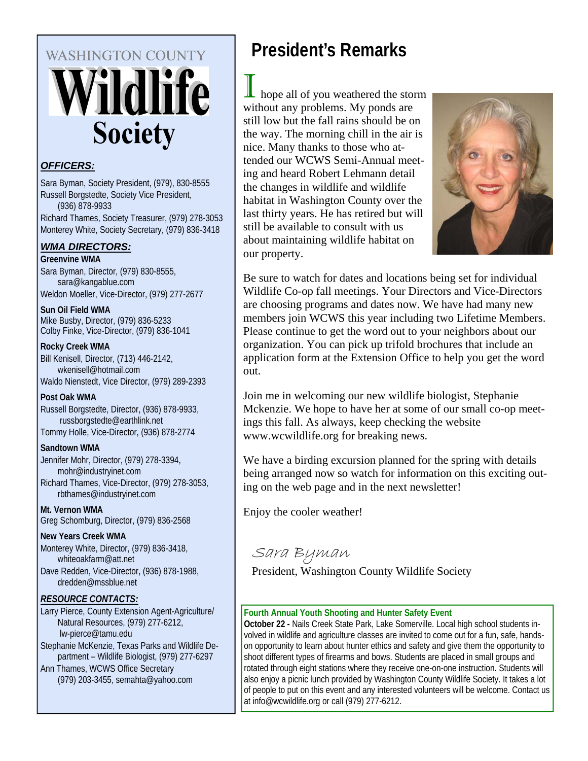# **WASHINGTON COUNTY** Vildlife **Society**

# *OFFICERS:*

Sara Byman, Society President, (979), 830-8555 Russell Borgstedte, Society Vice President, (936) 878-9933 Richard Thames, Society Treasurer, (979) 278-3053 Monterey White, Society Secretary, (979) 836-3418

# *WMA DIRECTORS:*

**Greenvine WMA** 

Sara Byman, Director, (979) 830-8555, sara@kangablue.com Weldon Moeller, Vice-Director, (979) 277-2677

**Sun Oil Field WMA** 

Mike Busby, Director, (979) 836-5233 Colby Finke, Vice-Director, (979) 836-1041

### **Rocky Creek WMA**

Bill Kenisell, Director, (713) 446-2142, wkenisell@hotmail.com Waldo Nienstedt, Vice Director, (979) 289-2393

# **Post Oak WMA**

Russell Borgstedte, Director, (936) 878-9933, russborgstedte@earthlink.net Tommy Holle, Vice-Director, (936) 878-2774

### **Sandtown WMA**

Jennifer Mohr, Director, (979) 278-3394, mohr@industryinet.com Richard Thames, Vice-Director, (979) 278-3053, rbthames@industryinet.com

**Mt. Vernon WMA**  Greg Schomburg, Director, (979) 836-2568

# **New Years Creek WMA**

Monterey White, Director, (979) 836-3418, whiteoakfarm@att.net Dave Redden, Vice-Director, (936) 878-1988, dredden@mssblue.net

# *RESOURCE CONTACTS:*

Larry Pierce, County Extension Agent-Agriculture/ Natural Resources, (979) 277-6212, lw-pierce@tamu.edu Stephanie McKenzie, Texas Parks and Wildlife Department – Wildlife Biologist, (979) 277-6297 Ann Thames, WCWS Office Secretary (979) 203-3455, semahta@yahoo.com

# **President's Remarks**

hope all of you weathered the storm without any problems. My ponds are still low but the fall rains should be on the way. The morning chill in the air is nice. Many thanks to those who attended our WCWS Semi-Annual meeting and heard Robert Lehmann detail the changes in wildlife and wildlife habitat in Washington County over the last thirty years. He has retired but will still be available to consult with us about maintaining wildlife habitat on our property.



Be sure to watch for dates and locations being set for individual Wildlife Co-op fall meetings. Your Directors and Vice-Directors are choosing programs and dates now. We have had many new members join WCWS this year including two Lifetime Members. Please continue to get the word out to your neighbors about our organization. You can pick up trifold brochures that include an application form at the Extension Office to help you get the word out.

Join me in welcoming our new wildlife biologist, Stephanie Mckenzie. We hope to have her at some of our small co-op meetings this fall. As always, keep checking the website www.wcwildlife.org for breaking news.

We have a birding excursion planned for the spring with details being arranged now so watch for information on this exciting outing on the web page and in the next newsletter!

Enjoy the cooler weather!

Sara Byman

President, Washington County Wildlife Society

# **Fourth Annual Youth Shooting and Hunter Safety Event**

**October 22 -** Nails Creek State Park, Lake Somerville. Local high school students involved in wildlife and agriculture classes are invited to come out for a fun, safe, handson opportunity to learn about hunter ethics and safety and give them the opportunity to shoot different types of firearms and bows. Students are placed in small groups and rotated through eight stations where they receive one-on-one instruction. Students will also enjoy a picnic lunch provided by Washington County Wildlife Society. It takes a lot of people to put on this event and any interested volunteers will be welcome. Contact us at info@wcwildlife.org or call (979) 277-6212.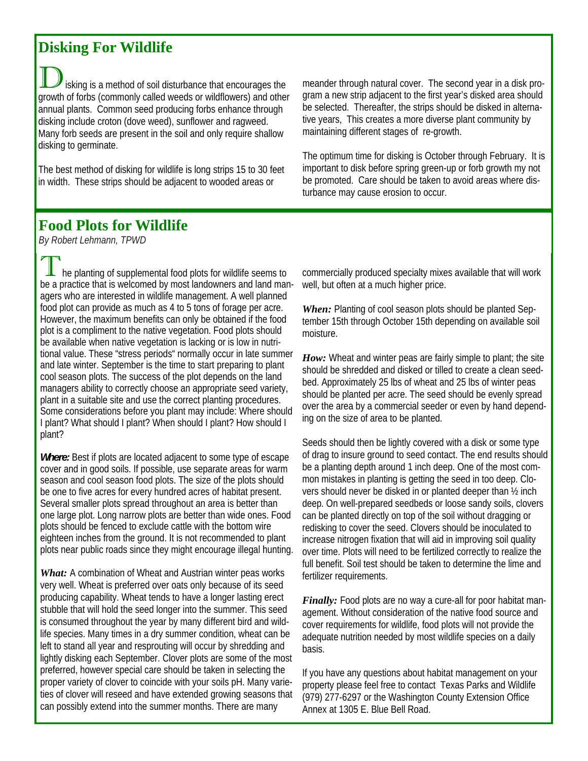# **Disking For Wildlife**

isking is a method of soil disturbance that encourages the growth of forbs (commonly called weeds or wildflowers) and other annual plants. Common seed producing forbs enhance through disking include croton (dove weed), sunflower and ragweed. Many forb seeds are present in the soil and only require shallow disking to germinate.

The best method of disking for wildlife is long strips 15 to 30 feet in width. These strips should be adjacent to wooded areas or

meander through natural cover. The second year in a disk program a new strip adjacent to the first year's disked area should be selected. Thereafter, the strips should be disked in alternative years, This creates a more diverse plant community by maintaining different stages of re-growth.

The optimum time for disking is October through February. It is important to disk before spring green-up or forb growth my not be promoted. Care should be taken to avoid areas where disturbance may cause erosion to occur.

# **Food Plots for Wildlife**

*By Robert Lehmann, TPWD*

he planting of supplemental food plots for wildlife seems to be a practice that is welcomed by most landowners and land managers who are interested in wildlife management. A well planned food plot can provide as much as 4 to 5 tons of forage per acre. However, the maximum benefits can only be obtained if the food plot is a compliment to the native vegetation. Food plots should be available when native vegetation is lacking or is low in nutritional value. These "stress periods" normally occur in late summer and late winter. September is the time to start preparing to plant cool season plots. The success of the plot depends on the land managers ability to correctly choose an appropriate seed variety, plant in a suitable site and use the correct planting procedures. Some considerations before you plant may include: Where should I plant? What should I plant? When should I plant? How should I plant?

*Where:* Best if plots are located adjacent to some type of escape cover and in good soils. If possible, use separate areas for warm season and cool season food plots. The size of the plots should be one to five acres for every hundred acres of habitat present. Several smaller plots spread throughout an area is better than one large plot. Long narrow plots are better than wide ones. Food plots should be fenced to exclude cattle with the bottom wire eighteen inches from the ground. It is not recommended to plant plots near public roads since they might encourage illegal hunting.

*What:* A combination of Wheat and Austrian winter peas works very well. Wheat is preferred over oats only because of its seed producing capability. Wheat tends to have a longer lasting erect stubble that will hold the seed longer into the summer. This seed is consumed throughout the year by many different bird and wildlife species. Many times in a dry summer condition, wheat can be left to stand all year and resprouting will occur by shredding and lightly disking each September. Clover plots are some of the most preferred, however special care should be taken in selecting the proper variety of clover to coincide with your soils pH. Many varieties of clover will reseed and have extended growing seasons that can possibly extend into the summer months. There are many

commercially produced specialty mixes available that will work well, but often at a much higher price.

*When:* Planting of cool season plots should be planted September 15th through October 15th depending on available soil moisture.

*How:* Wheat and winter peas are fairly simple to plant; the site should be shredded and disked or tilled to create a clean seedbed. Approximately 25 lbs of wheat and 25 lbs of winter peas should be planted per acre. The seed should be evenly spread over the area by a commercial seeder or even by hand depending on the size of area to be planted.

Seeds should then be lightly covered with a disk or some type of drag to insure ground to seed contact. The end results should be a planting depth around 1 inch deep. One of the most common mistakes in planting is getting the seed in too deep. Clovers should never be disked in or planted deeper than ½ inch deep. On well-prepared seedbeds or loose sandy soils, clovers can be planted directly on top of the soil without dragging or redisking to cover the seed. Clovers should be inoculated to increase nitrogen fixation that will aid in improving soil quality over time. Plots will need to be fertilized correctly to realize the full benefit. Soil test should be taken to determine the lime and fertilizer requirements.

*Finally:* Food plots are no way a cure-all for poor habitat management. Without consideration of the native food source and cover requirements for wildlife, food plots will not provide the adequate nutrition needed by most wildlife species on a daily basis.

If you have any questions about habitat management on your property please feel free to contact Texas Parks and Wildlife (979) 277-6297 or the Washington County Extension Office Annex at 1305 E. Blue Bell Road.